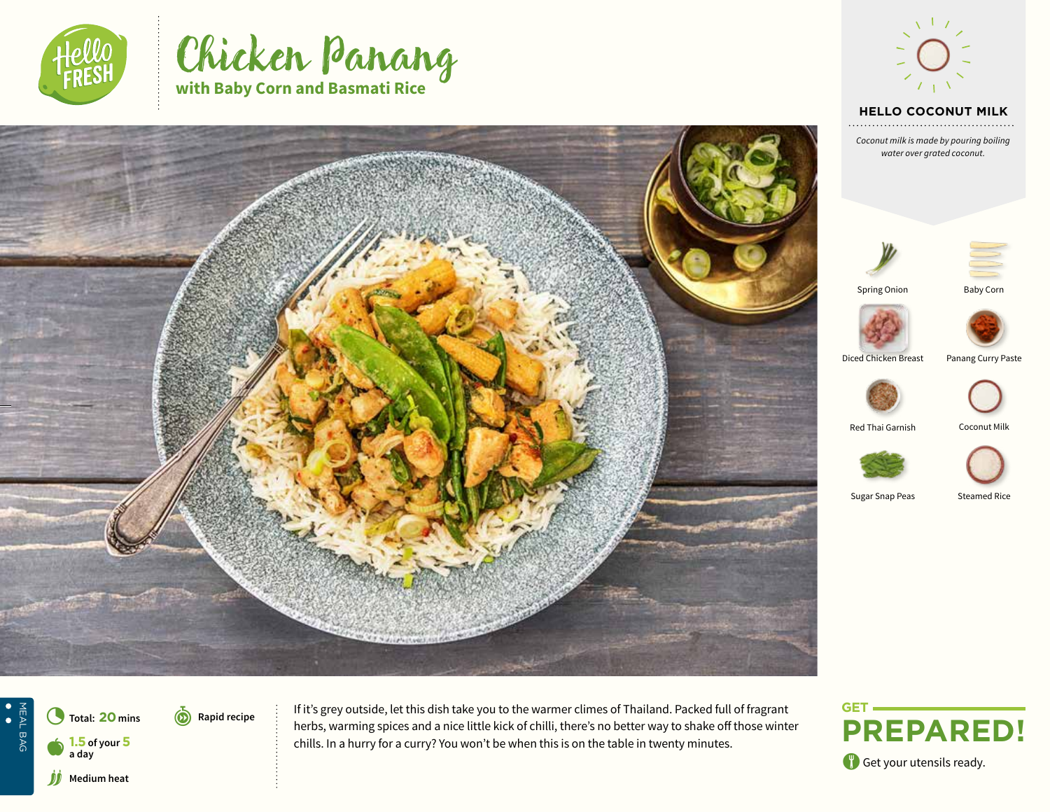





#### **HELLO TEXT HELLO COCONUT MILK**

*Text Coconut milk is made by pouring boiling water over grated coconut.* 







Spring Onion

Baby Corn



Diced Chicken Breast Panang Curry Paste

Red Thai Garnish Coconut Milk





Sugar Snap Peas Steamed Rice

NEAL BAG<br>
•<br>
• MEAL BAG **Total: 20 mins** r**Rapid recipe Medium heat** 

**6** Rapid recipe  $\vdots$  If it's grey outside, let this dish take you to the warmer climes of Thailand. Packed full of fragrant herbs, warming spices and a nice little kick of chilli, there's no better way to shake off those winter **1.5** of your **5** chills. In a hurry for a curry? You won't be when this is on the table in twenty minutes.